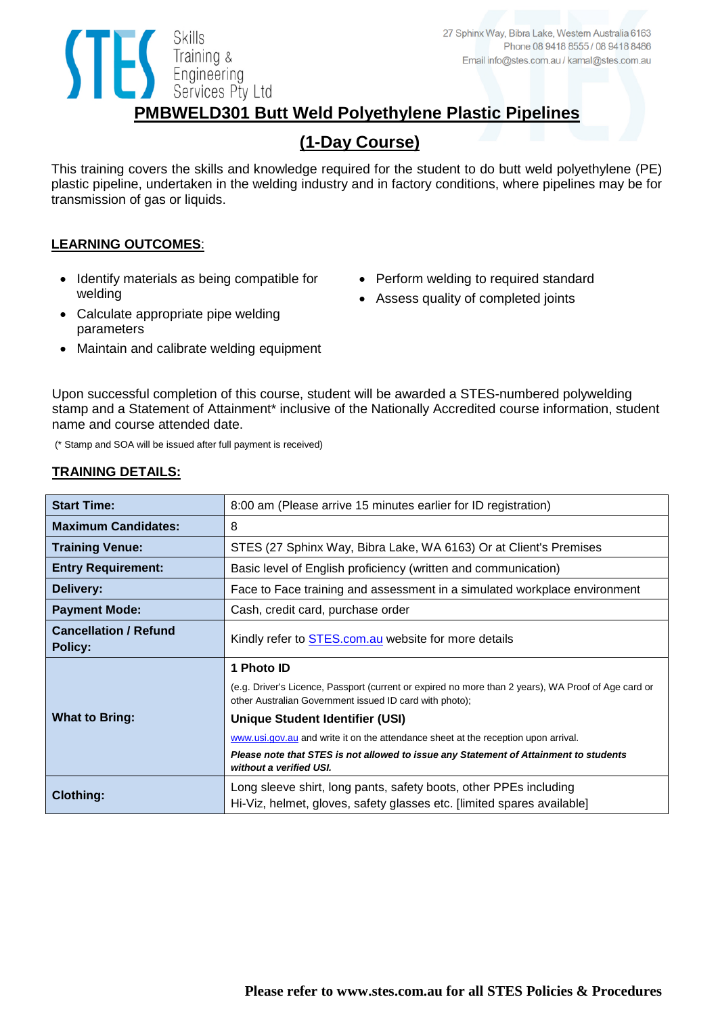## **PMBWELD301 Butt Weld Polyethylene Plastic Pipelines**

## **(1-Day Course)**

This training covers the skills and knowledge required for the student to do butt weld polyethylene (PE) plastic pipeline, undertaken in the welding industry and in factory conditions, where pipelines may be for transmission of gas or liquids.

## **LEARNING OUTCOMES**:

• Identify materials as being compatible for welding

Training &<br>Engineering<br>Services Pty

Services Pty Ltd

- Perform welding to required standard
- Assess quality of completed joints
- Calculate appropriate pipe welding parameters
- Maintain and calibrate welding equipment

Upon successful completion of this course, student will be awarded a STES-numbered polywelding stamp and a Statement of Attainment\* inclusive of the Nationally Accredited course information, student name and course attended date.

(\* Stamp and SOA will be issued after full payment is received)

## **TRAINING DETAILS:**

| <b>Start Time:</b>                             | 8:00 am (Please arrive 15 minutes earlier for ID registration)                                                                                                 |
|------------------------------------------------|----------------------------------------------------------------------------------------------------------------------------------------------------------------|
| <b>Maximum Candidates:</b>                     | 8                                                                                                                                                              |
| <b>Training Venue:</b>                         | STES (27 Sphinx Way, Bibra Lake, WA 6163) Or at Client's Premises                                                                                              |
| <b>Entry Requirement:</b>                      | Basic level of English proficiency (written and communication)                                                                                                 |
| Delivery:                                      | Face to Face training and assessment in a simulated workplace environment                                                                                      |
| <b>Payment Mode:</b>                           | Cash, credit card, purchase order                                                                                                                              |
| <b>Cancellation / Refund</b><br><b>Policy:</b> | Kindly refer to <b>STES.com.au</b> website for more details                                                                                                    |
|                                                |                                                                                                                                                                |
|                                                | 1 Photo ID                                                                                                                                                     |
|                                                | (e.g. Driver's Licence, Passport (current or expired no more than 2 years), WA Proof of Age card or<br>other Australian Government issued ID card with photo); |
| <b>What to Bring:</b>                          | Unique Student Identifier (USI)                                                                                                                                |
|                                                | www.usi.gov.au and write it on the attendance sheet at the reception upon arrival.                                                                             |
|                                                | Please note that STES is not allowed to issue any Statement of Attainment to students<br>without a verified USI.                                               |
| <b>Clothing:</b>                               | Long sleeve shirt, long pants, safety boots, other PPEs including                                                                                              |